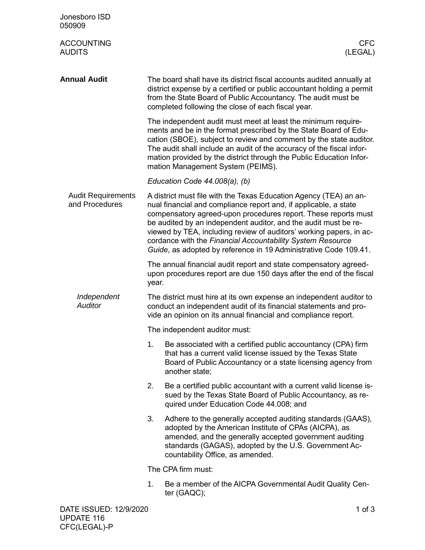| Jonesboro ISD<br>050909                     |                                                                                                                                                                                                                                                                                                                                                                                                                                                                                     |                                                                                                                                                                                                                                                                                                                                                                                              |  |  |
|---------------------------------------------|-------------------------------------------------------------------------------------------------------------------------------------------------------------------------------------------------------------------------------------------------------------------------------------------------------------------------------------------------------------------------------------------------------------------------------------------------------------------------------------|----------------------------------------------------------------------------------------------------------------------------------------------------------------------------------------------------------------------------------------------------------------------------------------------------------------------------------------------------------------------------------------------|--|--|
| <b>ACCOUNTING</b><br><b>AUDITS</b>          |                                                                                                                                                                                                                                                                                                                                                                                                                                                                                     | <b>CFC</b><br>(LEGAL)                                                                                                                                                                                                                                                                                                                                                                        |  |  |
| <b>Annual Audit</b>                         |                                                                                                                                                                                                                                                                                                                                                                                                                                                                                     | The board shall have its district fiscal accounts audited annually at<br>district expense by a certified or public accountant holding a permit<br>from the State Board of Public Accountancy. The audit must be<br>completed following the close of each fiscal year.                                                                                                                        |  |  |
|                                             |                                                                                                                                                                                                                                                                                                                                                                                                                                                                                     | The independent audit must meet at least the minimum require-<br>ments and be in the format prescribed by the State Board of Edu-<br>cation (SBOE), subject to review and comment by the state auditor.<br>The audit shall include an audit of the accuracy of the fiscal infor-<br>mation provided by the district through the Public Education Infor-<br>mation Management System (PEIMS). |  |  |
|                                             |                                                                                                                                                                                                                                                                                                                                                                                                                                                                                     | Education Code 44.008(a), (b)                                                                                                                                                                                                                                                                                                                                                                |  |  |
| <b>Audit Requirements</b><br>and Procedures | A district must file with the Texas Education Agency (TEA) an an-<br>nual financial and compliance report and, if applicable, a state<br>compensatory agreed-upon procedures report. These reports must<br>be audited by an independent auditor, and the audit must be re-<br>viewed by TEA, including review of auditors' working papers, in ac-<br>cordance with the Financial Accountability System Resource<br>Guide, as adopted by reference in 19 Administrative Code 109.41. |                                                                                                                                                                                                                                                                                                                                                                                              |  |  |
|                                             | year.                                                                                                                                                                                                                                                                                                                                                                                                                                                                               | The annual financial audit report and state compensatory agreed-<br>upon procedures report are due 150 days after the end of the fiscal                                                                                                                                                                                                                                                      |  |  |
| Independent<br><b>Auditor</b>               | The district must hire at its own expense an independent auditor to<br>conduct an independent audit of its financial statements and pro-<br>vide an opinion on its annual financial and compliance report.                                                                                                                                                                                                                                                                          |                                                                                                                                                                                                                                                                                                                                                                                              |  |  |
|                                             | The independent auditor must:                                                                                                                                                                                                                                                                                                                                                                                                                                                       |                                                                                                                                                                                                                                                                                                                                                                                              |  |  |
|                                             | 1.                                                                                                                                                                                                                                                                                                                                                                                                                                                                                  | Be associated with a certified public accountancy (CPA) firm<br>that has a current valid license issued by the Texas State<br>Board of Public Accountancy or a state licensing agency from<br>another state;                                                                                                                                                                                 |  |  |
|                                             | 2.                                                                                                                                                                                                                                                                                                                                                                                                                                                                                  | Be a certified public accountant with a current valid license is-<br>sued by the Texas State Board of Public Accountancy, as re-<br>quired under Education Code 44.008; and                                                                                                                                                                                                                  |  |  |
|                                             | 3.                                                                                                                                                                                                                                                                                                                                                                                                                                                                                  | Adhere to the generally accepted auditing standards (GAAS),<br>adopted by the American Institute of CPAs (AICPA), as<br>amended, and the generally accepted government auditing<br>standards (GAGAS), adopted by the U.S. Government Ac-<br>countability Office, as amended.                                                                                                                 |  |  |
|                                             |                                                                                                                                                                                                                                                                                                                                                                                                                                                                                     | The CPA firm must:                                                                                                                                                                                                                                                                                                                                                                           |  |  |
|                                             | 1.                                                                                                                                                                                                                                                                                                                                                                                                                                                                                  | Be a member of the AICPA Governmental Audit Quality Cen-<br>ter (GAQC);                                                                                                                                                                                                                                                                                                                      |  |  |
| DATE ISSUED: 12/9/2020                      |                                                                                                                                                                                                                                                                                                                                                                                                                                                                                     | 1 of $3$                                                                                                                                                                                                                                                                                                                                                                                     |  |  |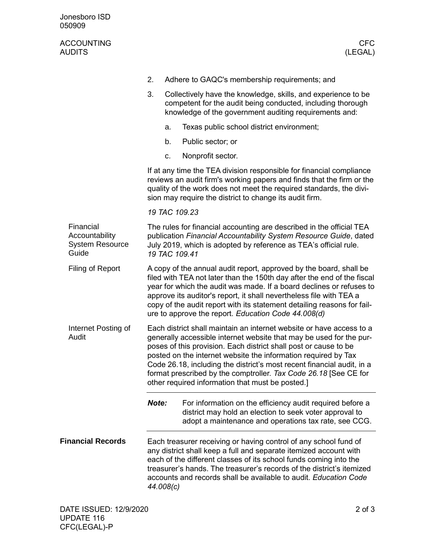| Jonesboro ISD<br>050909                                        |       |                                                                                                                                                                                                                                                                                                                                                                                                                                                                                     |
|----------------------------------------------------------------|-------|-------------------------------------------------------------------------------------------------------------------------------------------------------------------------------------------------------------------------------------------------------------------------------------------------------------------------------------------------------------------------------------------------------------------------------------------------------------------------------------|
| <b>ACCOUNTING</b><br><b>AUDITS</b>                             |       | <b>CFC</b><br>(LEGAL)                                                                                                                                                                                                                                                                                                                                                                                                                                                               |
|                                                                | 2.    | Adhere to GAQC's membership requirements; and                                                                                                                                                                                                                                                                                                                                                                                                                                       |
|                                                                | 3.    | Collectively have the knowledge, skills, and experience to be<br>competent for the audit being conducted, including thorough<br>knowledge of the government auditing requirements and:                                                                                                                                                                                                                                                                                              |
|                                                                |       | Texas public school district environment;<br>a.                                                                                                                                                                                                                                                                                                                                                                                                                                     |
|                                                                |       | b.<br>Public sector; or                                                                                                                                                                                                                                                                                                                                                                                                                                                             |
|                                                                |       | Nonprofit sector.<br>C.                                                                                                                                                                                                                                                                                                                                                                                                                                                             |
|                                                                |       | If at any time the TEA division responsible for financial compliance<br>reviews an audit firm's working papers and finds that the firm or the<br>quality of the work does not meet the required standards, the divi-<br>sion may require the district to change its audit firm.                                                                                                                                                                                                     |
|                                                                |       | 19 TAC 109.23                                                                                                                                                                                                                                                                                                                                                                                                                                                                       |
| Financial<br>Accountability<br><b>System Resource</b><br>Guide |       | The rules for financial accounting are described in the official TEA<br>publication Financial Accountability System Resource Guide, dated<br>July 2019, which is adopted by reference as TEA's official rule.<br>19 TAC 109.41                                                                                                                                                                                                                                                      |
| Filing of Report                                               |       | A copy of the annual audit report, approved by the board, shall be<br>filed with TEA not later than the 150th day after the end of the fiscal<br>year for which the audit was made. If a board declines or refuses to<br>approve its auditor's report, it shall nevertheless file with TEA a<br>copy of the audit report with its statement detailing reasons for fail-<br>ure to approve the report. Education Code 44.008(d)                                                      |
| Internet Posting of<br>Audit                                   |       | Each district shall maintain an internet website or have access to a<br>generally accessible internet website that may be used for the pur-<br>poses of this provision. Each district shall post or cause to be<br>posted on the internet website the information required by Tax<br>Code 26.18, including the district's most recent financial audit, in a<br>format prescribed by the comptroller. Tax Code 26.18 [See CE for<br>other required information that must be posted.] |
|                                                                | Note: | For information on the efficiency audit required before a<br>district may hold an election to seek voter approval to<br>adopt a maintenance and operations tax rate, see CCG.                                                                                                                                                                                                                                                                                                       |
| <b>Financial Records</b>                                       |       | Each treasurer receiving or having control of any school fund of<br>any district shall keep a full and separate itemized account with<br>each of the different classes of its school funds coming into the<br>treasurer's hands. The treasurer's records of the district's itemized<br>accounts and records shall be available to audit. Education Code<br>44.008(c)                                                                                                                |